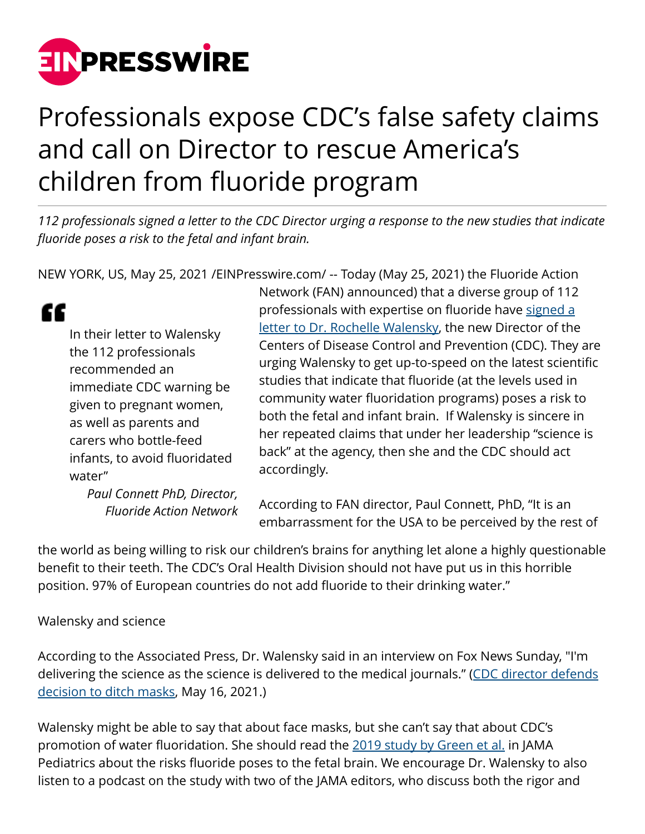

# Professionals expose CDC's false safety claims and call on Director to rescue America's children from fluoride program

*112 professionals signed a letter to the CDC Director urging a response to the new studies that indicate fluoride poses a risk to the fetal and infant brain.*

NEW YORK, US, May 25, 2021 [/EINPresswire.com](http://www.einpresswire.com)/ -- Today (May 25, 2021) the Fluoride Action

## "

In their letter to Walensky the 112 professionals recommended an immediate CDC warning be given to pregnant women, as well as parents and carers who bottle-feed infants, to avoid fluoridated water"

> *Paul Connett PhD, Director, Fluoride Action Network*

Network (FAN) announced) that a diverse group of 112 professionals with expertise on fluoride have [signed a](https://fluoridealert.org/content/walensky-letter/) [letter to Dr. Rochelle Walensky,](https://fluoridealert.org/content/walensky-letter/) the new Director of the Centers of Disease Control and Prevention (CDC). They are urging Walensky to get up-to-speed on the latest scientific studies that indicate that fluoride (at the levels used in community water fluoridation programs) poses a risk to both the fetal and infant brain. If Walensky is sincere in her repeated claims that under her leadership "science is back" at the agency, then she and the CDC should act accordingly.

According to FAN director, Paul Connett, PhD, "It is an embarrassment for the USA to be perceived by the rest of

the world as being willing to risk our children's brains for anything let alone a highly questionable benefit to their teeth. The CDC's Oral Health Division should not have put us in this horrible position. 97% of European countries do not add fluoride to their drinking water."

#### Walensky and science

According to the Associated Press, Dr. Walensky said in an interview on Fox News Sunday, "I'm delivering the science as the science is delivered to the medical journals." [\(CDC director defends](https://www.mprnews.org/story/2021/05/16/cdc-director-defends-decision-to-ditch-masks) [decision to ditch masks](https://www.mprnews.org/story/2021/05/16/cdc-director-defends-decision-to-ditch-masks), May 16, 2021.)

Walensky might be able to say that about face masks, but she can't say that about CDC's promotion of water fluoridation. She should read the [2019 study by Green et al.](https://jamanetwork.com/journals/jamapediatrics/fullarticle/2748634) in JAMA Pediatrics about the risks fluoride poses to the fetal brain. We encourage Dr. Walensky to also listen to a podcast on the study with two of the JAMA editors, who discuss both the rigor and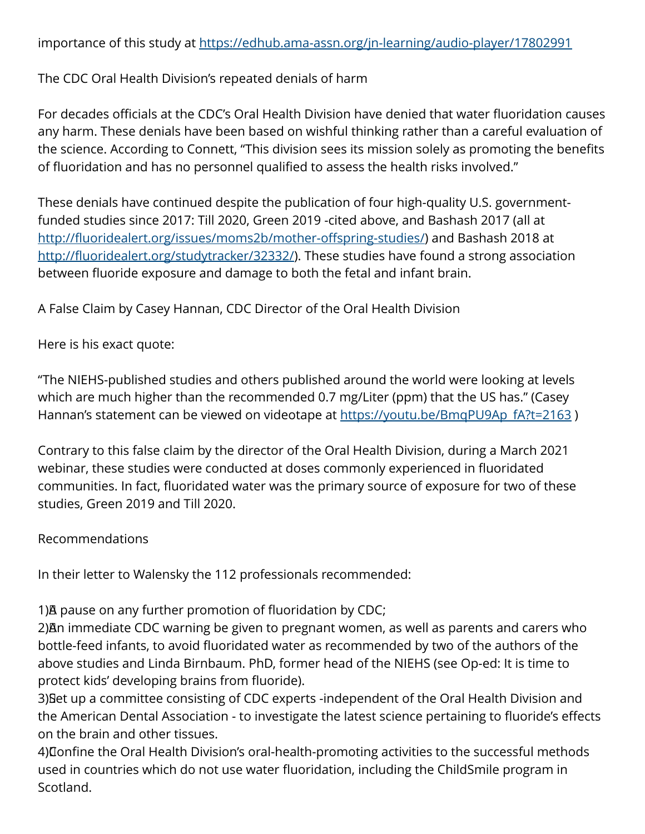importance of this study at<https://edhub.ama-assn.org/jn-learning/audio-player/17802991>

The CDC Oral Health Division's repeated denials of harm

For decades officials at the CDC's Oral Health Division have denied that water fluoridation causes any harm. These denials have been based on wishful thinking rather than a careful evaluation of the science. According to Connett, "This division sees its mission solely as promoting the benefits of fluoridation and has no personnel qualified to assess the health risks involved."

These denials have continued despite the publication of four high-quality U.S. governmentfunded studies since 2017: Till 2020, Green 2019 -cited above, and Bashash 2017 (all at <http://fluoridealert.org/issues/moms2b/mother-offspring-studies/>) and Bashash 2018 at <http://fluoridealert.org/studytracker/32332/>). These studies have found a strong association between fluoride exposure and damage to both the fetal and infant brain.

A False Claim by Casey Hannan, CDC Director of the Oral Health Division

Here is his exact quote:

"The NIEHS-published studies and others published around the world were looking at levels which are much higher than the recommended 0.7 mg/Liter (ppm) that the US has." (Casey Hannan's statement can be viewed on videotape at [https://youtu.be/BmqPU9Ap\\_fA?t=2163](https://youtu.be/BmqPU9Ap_fA?t=2163) )

Contrary to this false claim by the director of the Oral Health Division, during a March 2021 webinar, these studies were conducted at doses commonly experienced in fluoridated communities. In fact, fluoridated water was the primary source of exposure for two of these studies, Green 2019 and Till 2020.

#### Recommendations

In their letter to Walensky the 112 professionals recommended:

1)<sup>A</sup> pause on any further promotion of fluoridation by CDC;

2) An immediate CDC warning be given to pregnant women, as well as parents and carers who bottle-feed infants, to avoid fluoridated water as recommended by two of the authors of the above studies and Linda Birnbaum. PhD, former head of the NIEHS (see Op-ed: It is time to protect kids' developing brains from fluoride).

3) Bet up a committee consisting of CDC experts -independent of the Oral Health Division and the American Dental Association - to investigate the latest science pertaining to fluoride's effects on the brain and other tissues.

4) Confine the Oral Health Division's oral-health-promoting activities to the successful methods used in countries which do not use water fluoridation, including the ChildSmile program in Scotland.